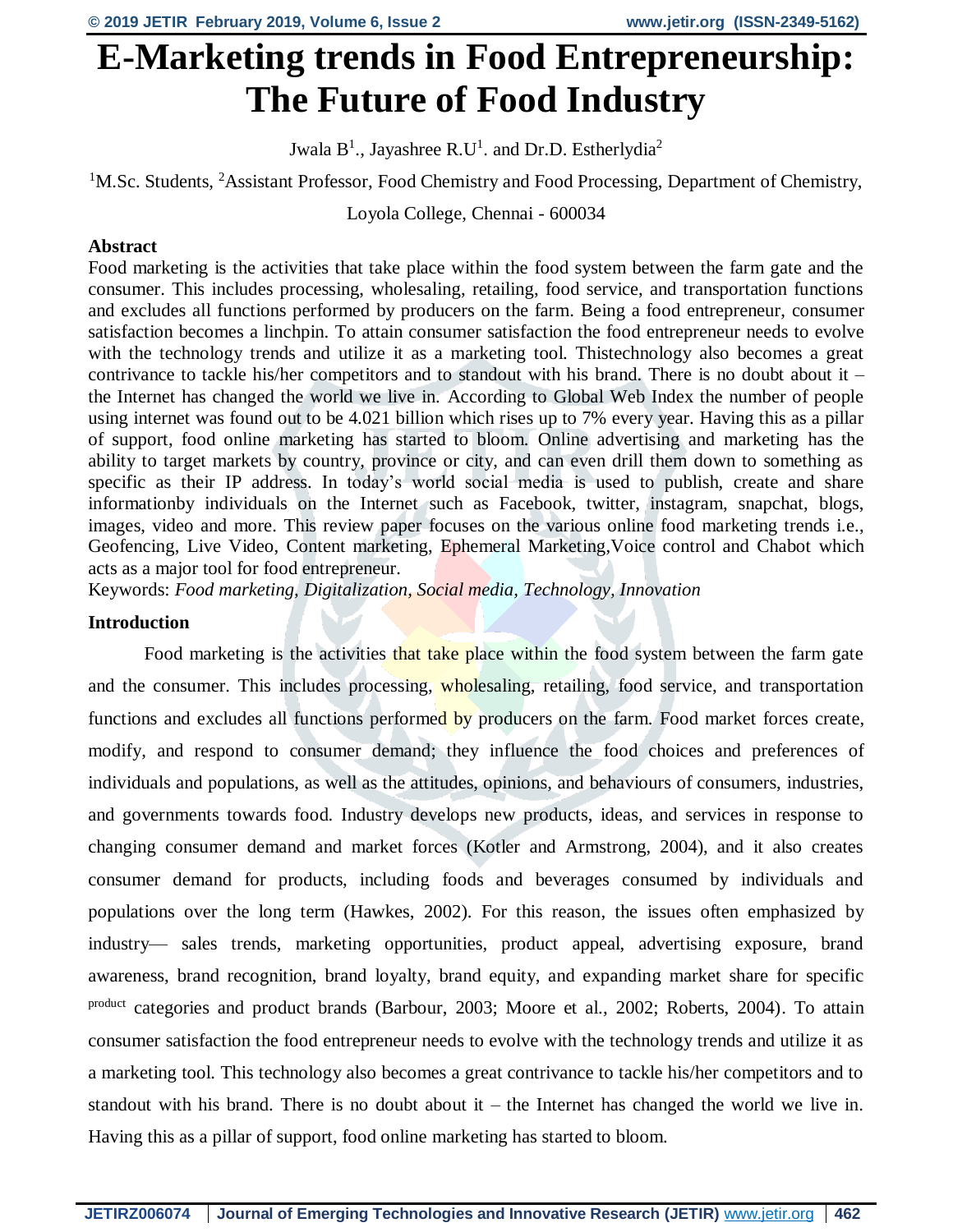# **E-Marketing trends in Food Entrepreneurship: The Future of Food Industry**

Jwala  $B^1$ ., Jayashree R.U<sup>1</sup>. and Dr.D. Estherlydia<sup>2</sup>

<sup>1</sup>M.Sc. Students, <sup>2</sup>Assistant Professor, Food Chemistry and Food Processing, Department of Chemistry,

Loyola College, Chennai - 600034

# **Abstract**

Food marketing is the activities that take place within the food system between the farm gate and the consumer. This includes processing, wholesaling, retailing, food service, and transportation functions and excludes all functions performed by producers on the farm. Being a food entrepreneur, consumer satisfaction becomes a linchpin. To attain consumer satisfaction the food entrepreneur needs to evolve with the technology trends and utilize it as a marketing tool. Thistechnology also becomes a great contrivance to tackle his/her competitors and to standout with his brand. There is no doubt about it – the Internet has changed the world we live in. According to Global Web Index the number of people using internet was found out to be 4.021 billion which rises up to 7% every year. Having this as a pillar of support, food online marketing has started to bloom. Online advertising and marketing has the ability to target markets by country, province or city, and can even drill them down to something as specific as their IP address. In today's world social media is used to publish, create and share informationby individuals on the Internet such as Facebook, twitter, instagram, snapchat, blogs, images, video and more. This review paper focuses on the various online food marketing trends i.e., Geofencing, Live Video, Content marketing, Ephemeral Marketing,Voice control and Chabot which acts as a major tool for food entrepreneur.

Keywords: *Food marketing, Digitalization, Social media, Technology, Innovation*

#### **Introduction**

Food marketing is the activities that take place within the food system between the farm gate and the consumer. This includes processing, wholesaling, retailing, food service, and transportation functions and excludes all functions performed by producers on the farm. Food market forces create, modify, and respond to consumer demand; they influence the food choices and preferences of individuals and populations, as well as the attitudes, opinions, and behaviours of consumers, industries, and governments towards food. Industry develops new products, ideas, and services in response to changing consumer demand and market forces (Kotler and Armstrong, 2004), and it also creates consumer demand for products, including foods and beverages consumed by individuals and populations over the long term (Hawkes, 2002). For this reason, the issues often emphasized by industry— sales trends, marketing opportunities, product appeal, advertising exposure, brand awareness, brand recognition, brand loyalty, brand equity, and expanding market share for specific product categories and product brands (Barbour, 2003; Moore et al., 2002; Roberts, 2004). To attain consumer satisfaction the food entrepreneur needs to evolve with the technology trends and utilize it as a marketing tool. This technology also becomes a great contrivance to tackle his/her competitors and to standout with his brand. There is no doubt about it – the Internet has changed the world we live in. Having this as a pillar of support, food online marketing has started to bloom.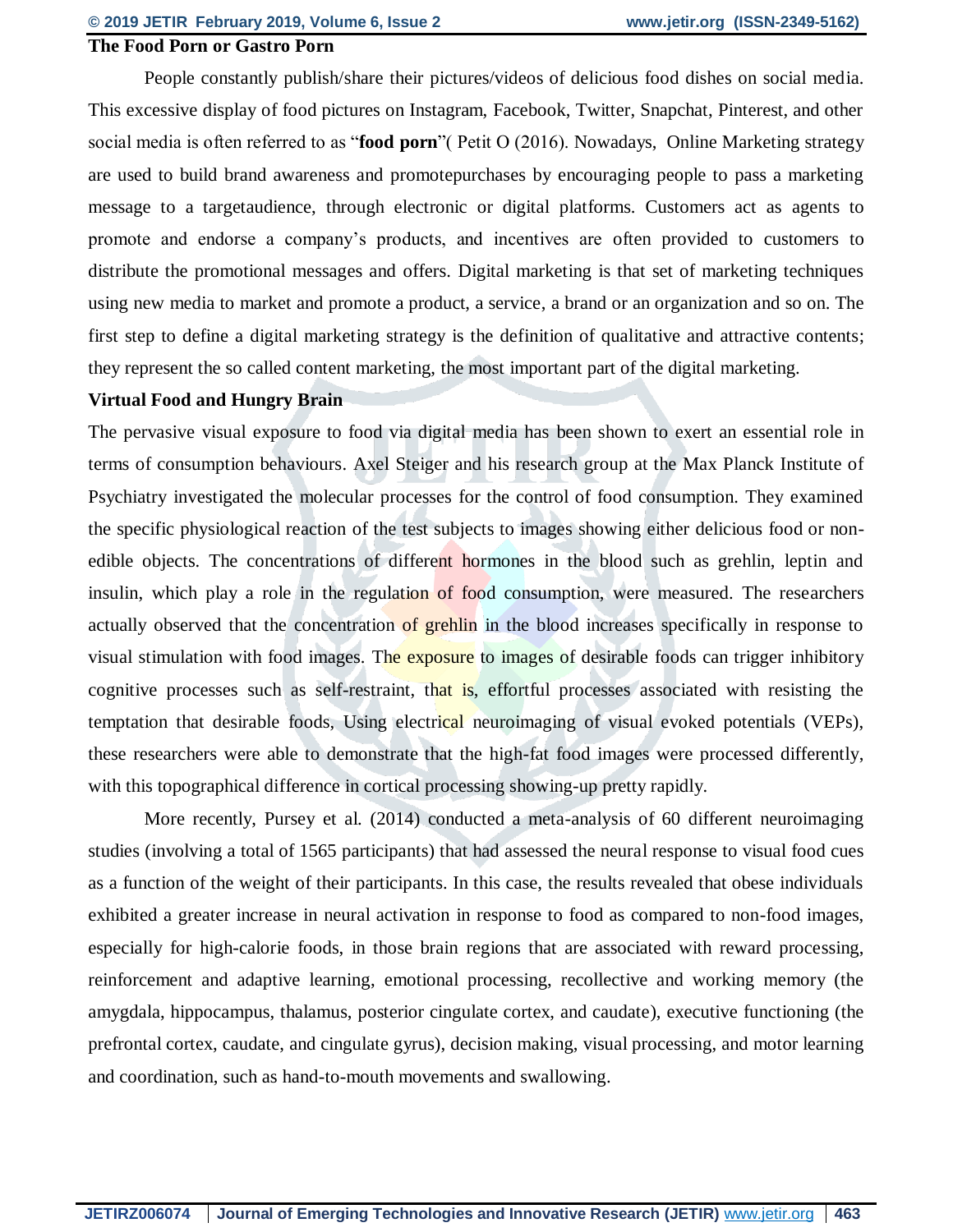# **The Food Porn or Gastro Porn**

People constantly publish/share their pictures/videos of delicious food dishes on social media. This excessive display of food pictures on Instagram, Facebook, Twitter, Snapchat, Pinterest, and other social media is often referred to as "**food porn**"( Petit O (2016). Nowadays, Online Marketing strategy are used to build brand awareness and promotepurchases by encouraging people to pass a marketing message to a targetaudience, through electronic or digital platforms. Customers act as agents to promote and endorse a company's products, and incentives are often provided to customers to distribute the promotional messages and offers. Digital marketing is that set of marketing techniques using new media to market and promote a product, a service, a brand or an organization and so on. The first step to define a digital marketing strategy is the definition of qualitative and attractive contents; they represent the so called content marketing, the most important part of the digital marketing.

#### **Virtual Food and Hungry Brain**

The pervasive visual exposure to food via digital media has been shown to exert an essential role in terms of consumption behaviours. Axel Steiger and his research group at the Max Planck Institute of Psychiatry investigated the molecular processes for the control of food consumption. They examined the specific physiological reaction of the test subjects to images showing either delicious food or nonedible objects. The concentrations of different hormones in the blood such as grehlin, leptin and insulin, which play a role in the regulation of food consumption, were measured. The researchers actually observed that the concentration of grehlin in the blood increases specifically in response to visual stimulation with food images. The exposure to images of desirable foods can trigger inhibitory cognitive processes such as self-restraint, that is, effortful processes associated with resisting the temptation that desirable foods, Using electrical neuroimaging of visual evoked potentials (VEPs), these researchers were able to demonstrate that the high-fat food images were processed differently, with this topographical difference in cortical processing showing-up pretty rapidly.

More recently, Pursey et al. (2014) conducted a meta-analysis of 60 different neuroimaging studies (involving a total of 1565 participants) that had assessed the neural response to visual food cues as a function of the weight of their participants. In this case, the results revealed that obese individuals exhibited a greater increase in neural activation in response to food as compared to non-food images, especially for high-calorie foods, in those brain regions that are associated with reward processing, reinforcement and adaptive learning, emotional processing, recollective and working memory (the amygdala, hippocampus, thalamus, posterior cingulate cortex, and caudate), executive functioning (the prefrontal cortex, caudate, and cingulate gyrus), decision making, visual processing, and motor learning and coordination, such as hand-to-mouth movements and swallowing.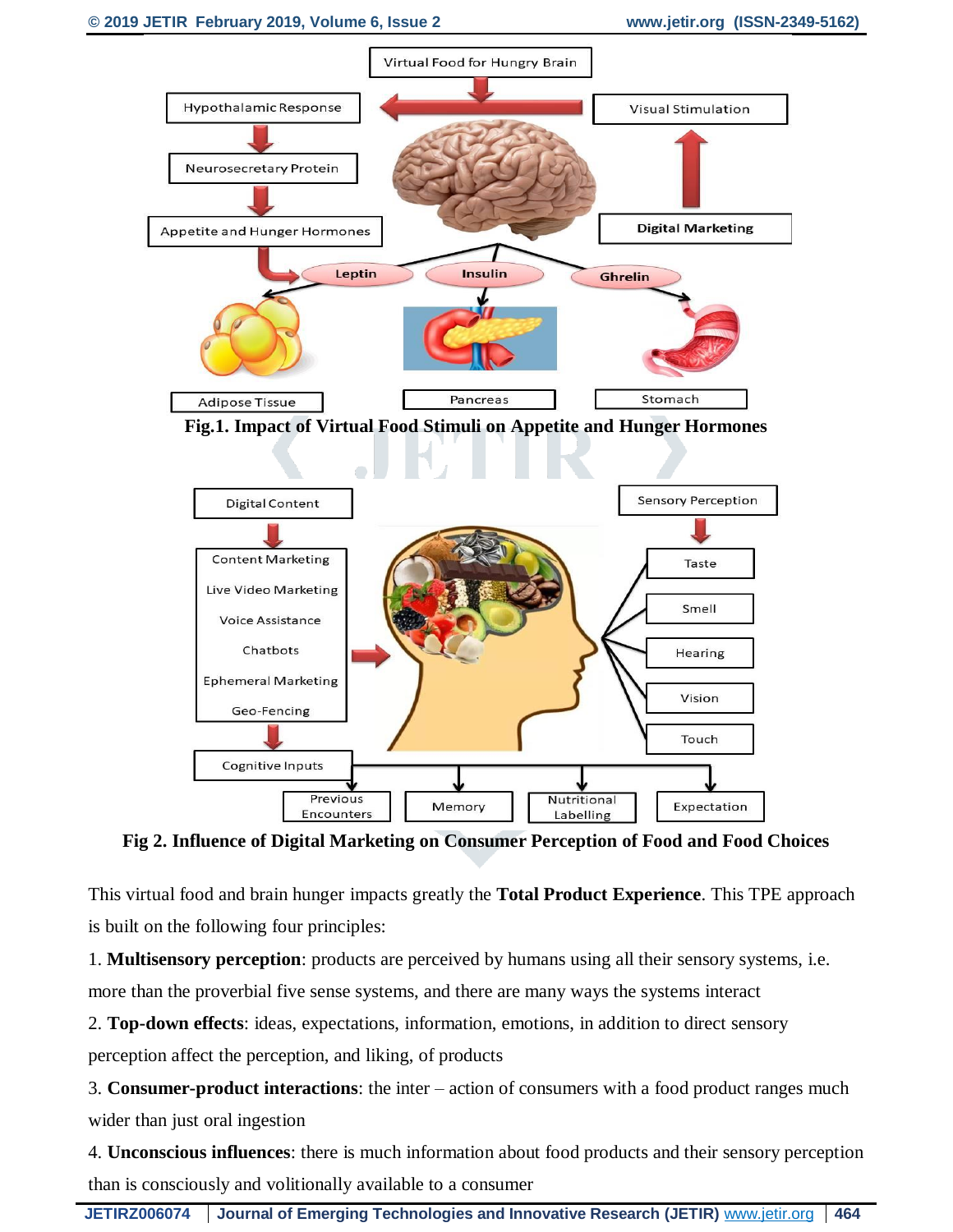

**Fig 2. Influence of Digital Marketing on Consumer Perception of Food and Food Choices**

This virtual food and brain hunger impacts greatly the **Total Product Experience**. This TPE approach is built on the following four principles:

1. **Multisensory perception**: products are perceived by humans using all their sensory systems, i.e. more than the proverbial five sense systems, and there are many ways the systems interact

2. **Top-down effects**: ideas, expectations, information, emotions, in addition to direct sensory perception affect the perception, and liking, of products

3. **Consumer-product interactions**: the inter – action of consumers with a food product ranges much wider than just oral ingestion

4. **Unconscious influences**: there is much information about food products and their sensory perception than is consciously and volitionally available to a consumer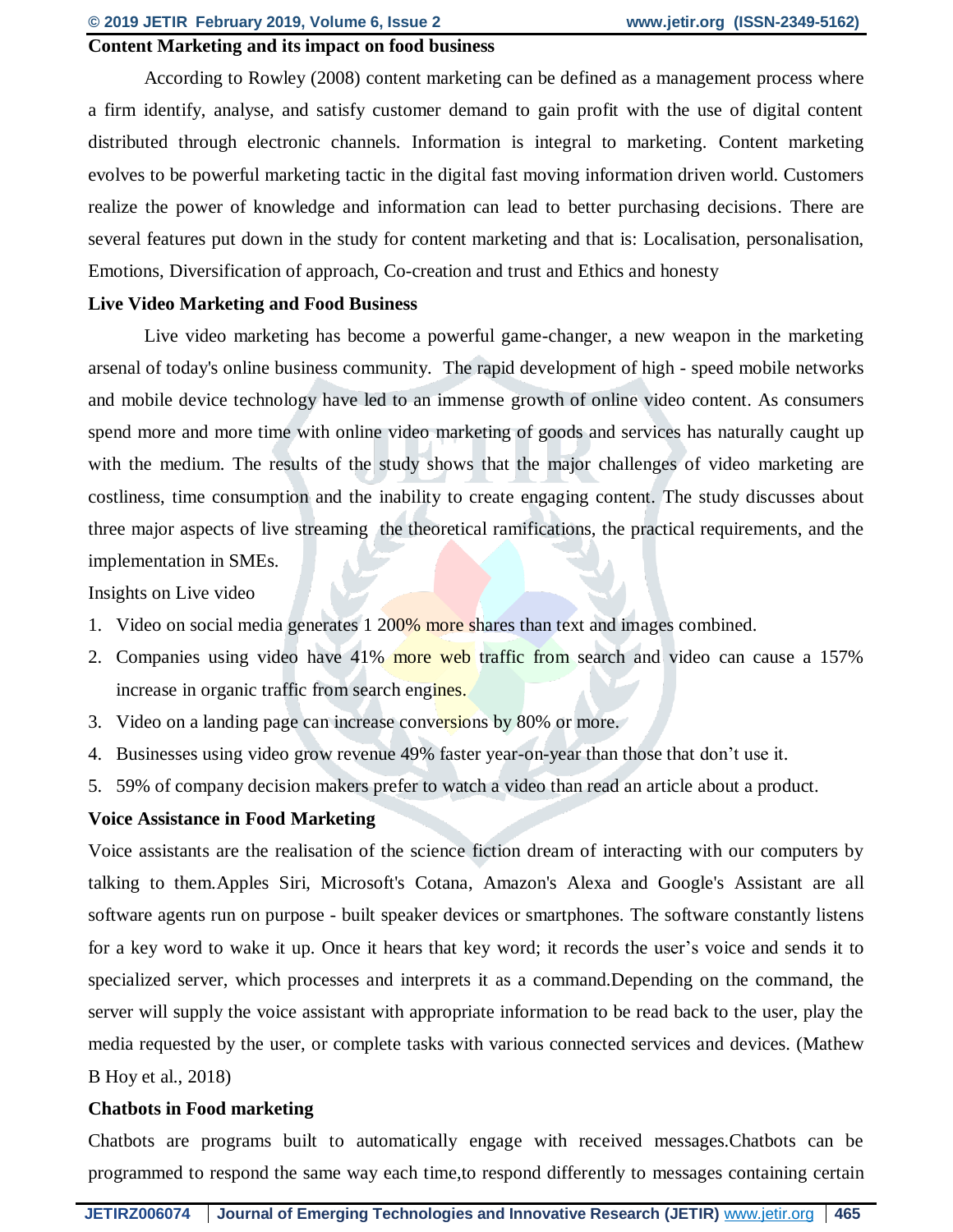# **Content Marketing and its impact on food business**

According to Rowley (2008) content marketing can be defined as a management process where a firm identify, analyse, and satisfy customer demand to gain profit with the use of digital content distributed through electronic channels. Information is integral to marketing. Content marketing evolves to be powerful marketing tactic in the digital fast moving information driven world. Customers realize the power of knowledge and information can lead to better purchasing decisions. There are several features put down in the study for content marketing and that is: Localisation, personalisation, Emotions, Diversification of approach, Co-creation and trust and Ethics and honesty

#### **Live Video Marketing and Food Business**

Live video marketing has become a powerful game-changer, a new weapon in the marketing arsenal of today's online business community. The rapid development of high - speed mobile networks and mobile device technology have led to an immense growth of online video content. As consumers spend more and more time with online video marketing of goods and services has naturally caught up with the medium. The results of the study shows that the major challenges of video marketing are costliness, time consumption and the inability to create engaging content. The study discusses about three major aspects of live streaming the theoretical ramifications, the practical requirements, and the implementation in SMEs.

Insights on Live video

- 1. Video on social media generates 1 200% more shares than text and images combined.
- 2. Companies using video have 41% more web traffic from search and video can cause a 157% increase in organic traffic from search engines.
- 3. Video on a landing page can increase conversions by 80% or more.
- 4. Businesses using video grow revenue 49% faster year-on-year than those that don't use it.
- 5. 59% of company decision makers prefer to watch a video than read an article about a product.

#### **Voice Assistance in Food Marketing**

Voice assistants are the realisation of the science fiction dream of interacting with our computers by talking to them.Apples Siri, Microsoft's Cotana, Amazon's Alexa and Google's Assistant are all software agents run on purpose - built speaker devices or smartphones. The software constantly listens for a key word to wake it up. Once it hears that key word; it records the user's voice and sends it to specialized server, which processes and interprets it as a command.Depending on the command, the server will supply the voice assistant with appropriate information to be read back to the user, play the media requested by the user, or complete tasks with various connected services and devices. (Mathew B Hoy et al., 2018)

#### **Chatbots in Food marketing**

Chatbots are programs built to automatically engage with received messages.Chatbots can be programmed to respond the same way each time,to respond differently to messages containing certain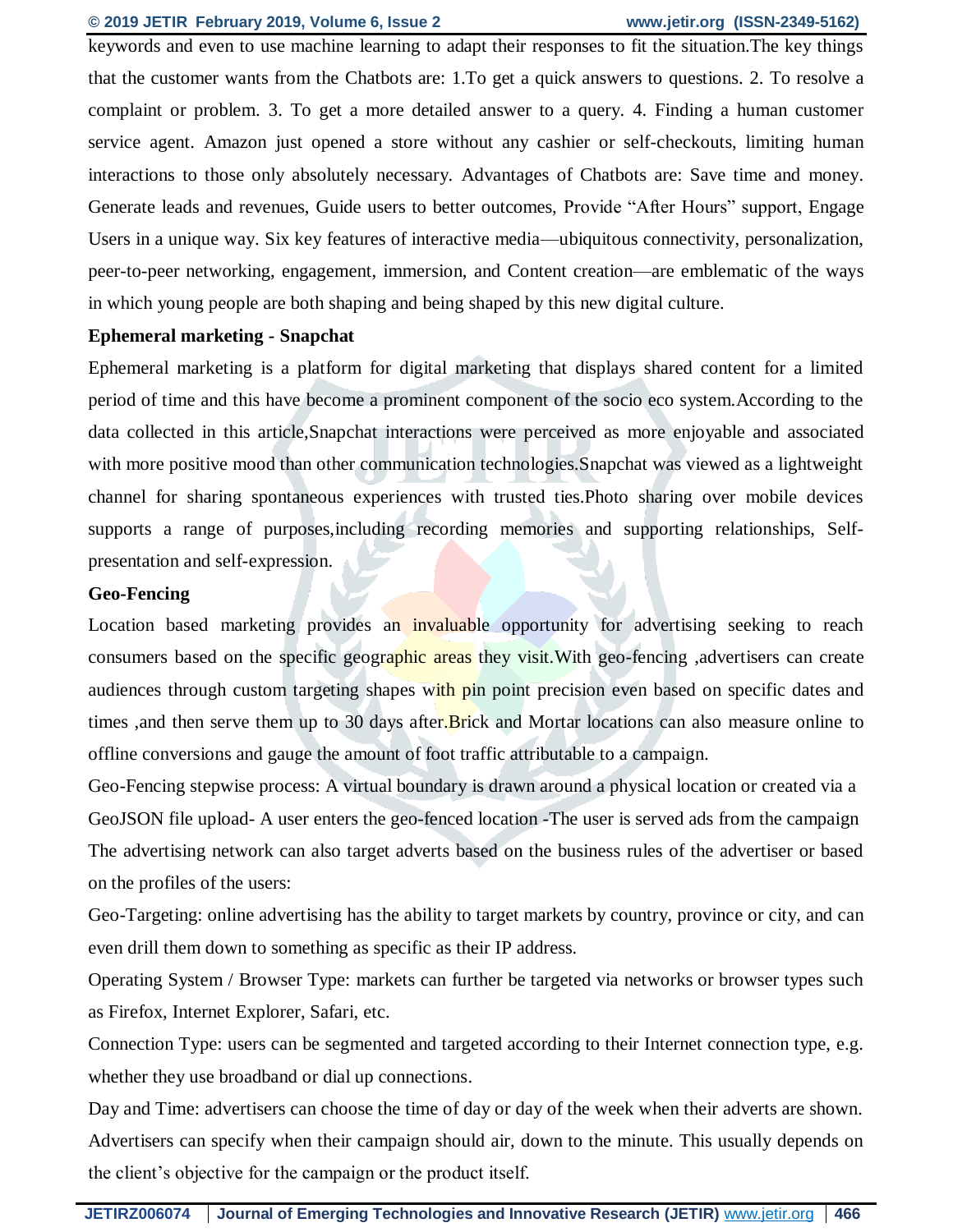# **© 2019 JETIR February 2019, Volume 6, Issue 2 www.jetir.org (ISSN-2349-5162)**

keywords and even to use machine learning to adapt their responses to fit the situation.The key things that the customer wants from the Chatbots are: 1.To get a quick answers to questions. 2. To resolve a complaint or problem. 3. To get a more detailed answer to a query. 4. Finding a human customer service agent. Amazon just opened a store without any cashier or self-checkouts, limiting human interactions to those only absolutely necessary. Advantages of Chatbots are: Save time and money. Generate leads and revenues, Guide users to better outcomes, Provide "After Hours" support, Engage Users in a unique way. Six key features of interactive media—ubiquitous connectivity, personalization, peer-to-peer networking, engagement, immersion, and Content creation—are emblematic of the ways in which young people are both shaping and being shaped by this new digital culture.

### **Ephemeral marketing - Snapchat**

Ephemeral marketing is a platform for digital marketing that displays shared content for a limited period of time and this have become a prominent component of the socio eco system.According to the data collected in this article,Snapchat interactions were perceived as more enjoyable and associated with more positive mood than other communication technologies. Snapchat was viewed as a lightweight channel for sharing spontaneous experiences with trusted ties.Photo sharing over mobile devices supports a range of purposes,including recording memories and supporting relationships, Selfpresentation and self-expression.

# **Geo-Fencing**

Location based marketing provides an invaluable opportunity for advertising seeking to reach consumers based on the specific geographic areas they visit. With geo-fencing , advertisers can create audiences through custom targeting shapes with pin point precision even based on specific dates and times ,and then serve them up to 30 days after. Brick and Mortar locations can also measure online to offline conversions and gauge the amount of foot traffic attributable to a campaign.

Geo-Fencing stepwise process: A virtual boundary is drawn around a physical location or created via a GeoJSON file upload- A user enters the geo-fenced location -The user is served ads from the campaign The advertising network can also target adverts based on the business rules of the advertiser or based on the profiles of the users:

Geo-Targeting: online advertising has the ability to target markets by country, province or city, and can even drill them down to something as specific as their IP address.

Operating System / Browser Type: markets can further be targeted via networks or browser types such as Firefox, Internet Explorer, Safari, etc.

Connection Type: users can be segmented and targeted according to their Internet connection type, e.g. whether they use broadband or dial up connections.

Day and Time: advertisers can choose the time of day or day of the week when their adverts are shown. Advertisers can specify when their campaign should air, down to the minute. This usually depends on the client's objective for the campaign or the product itself.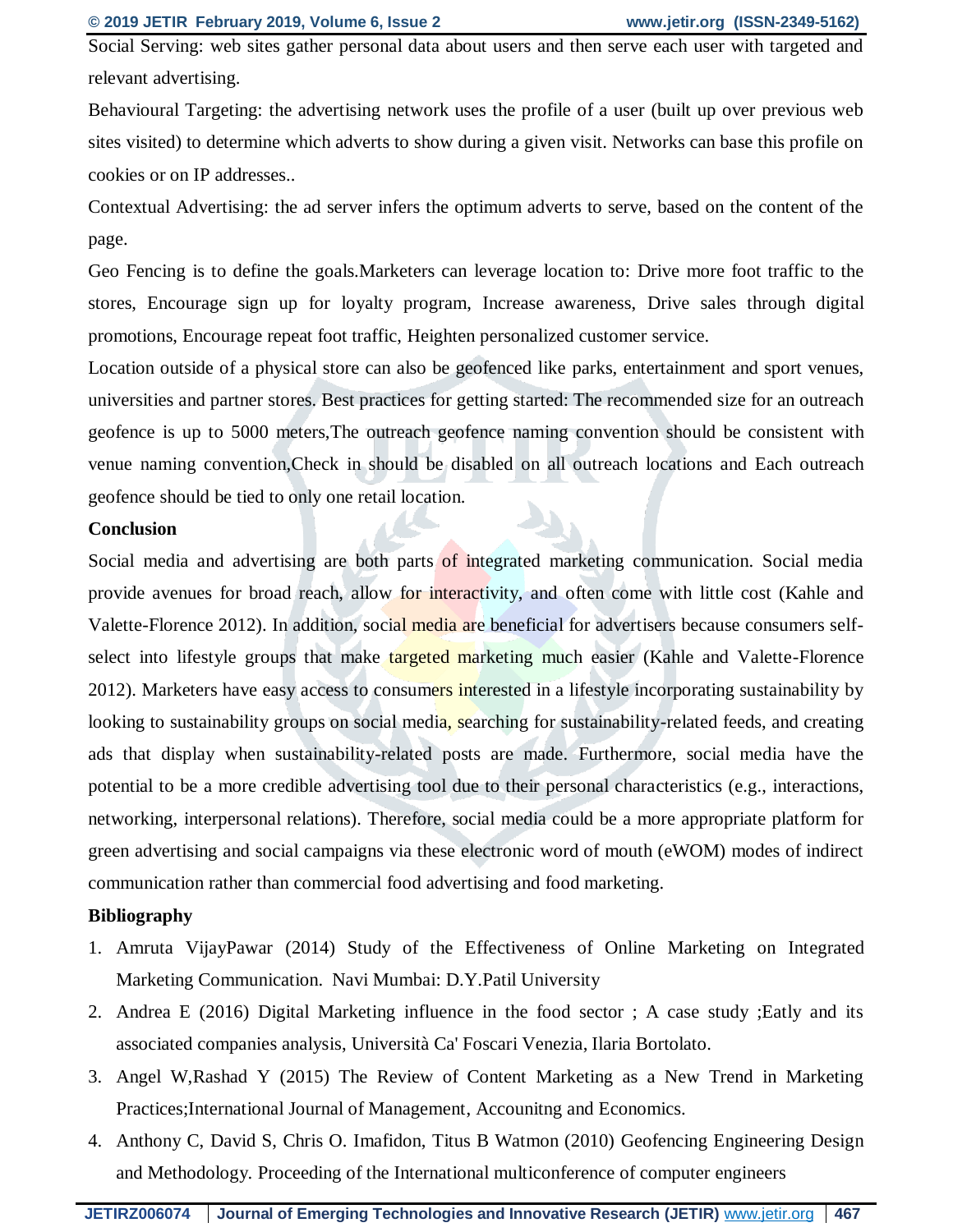Social Serving: web sites gather personal data about users and then serve each user with targeted and relevant advertising.

Behavioural Targeting: the advertising network uses the profile of a user (built up over previous web sites visited) to determine which adverts to show during a given visit. Networks can base this profile on cookies or on IP addresses..

Contextual Advertising: the ad server infers the optimum adverts to serve, based on the content of the page.

Geo Fencing is to define the goals.Marketers can leverage location to: Drive more foot traffic to the stores, Encourage sign up for loyalty program, Increase awareness, Drive sales through digital promotions, Encourage repeat foot traffic, Heighten personalized customer service.

Location outside of a physical store can also be geofenced like parks, entertainment and sport venues, universities and partner stores. Best practices for getting started: The recommended size for an outreach geofence is up to 5000 meters,The outreach geofence naming convention should be consistent with venue naming convention,Check in should be disabled on all outreach locations and Each outreach geofence should be tied to only one retail location.

#### **Conclusion**

Social media and advertising are both parts of integrated marketing communication. Social media provide avenues for broad reach, allow for interactivity, and often come with little cost (Kahle and Valette-Florence 2012). In addition, social media are beneficial for advertisers because consumers selfselect into lifestyle groups that make targeted marketing much easier (Kahle and Valette-Florence 2012). Marketers have easy access to consumers interested in a lifestyle incorporating sustainability by looking to sustainability groups on social media, searching for sustainability-related feeds, and creating ads that display when sustainability-related posts are made. Furthermore, social media have the potential to be a more credible advertising tool due to their personal characteristics (e.g., interactions, networking, interpersonal relations). Therefore, social media could be a more appropriate platform for green advertising and social campaigns via these electronic word of mouth (eWOM) modes of indirect communication rather than commercial food advertising and food marketing.

#### **Bibliography**

- 1. Amruta VijayPawar (2014) Study of the Effectiveness of Online Marketing on Integrated Marketing Communication. Navi Mumbai: D.Y.Patil University
- 2. Andrea E (2016) Digital Marketing influence in the food sector ; A case study ;Eatly and its associated companies analysis, Università Ca' Foscari Venezia, Ilaria Bortolato.
- 3. Angel W,Rashad Y (2015) The Review of Content Marketing as a New Trend in Marketing Practices;International Journal of Management, Accounitng and Economics.
- 4. Anthony C, David S, Chris O. Imafidon, Titus B Watmon (2010) Geofencing Engineering Design and Methodology. Proceeding of the International multiconference of computer engineers